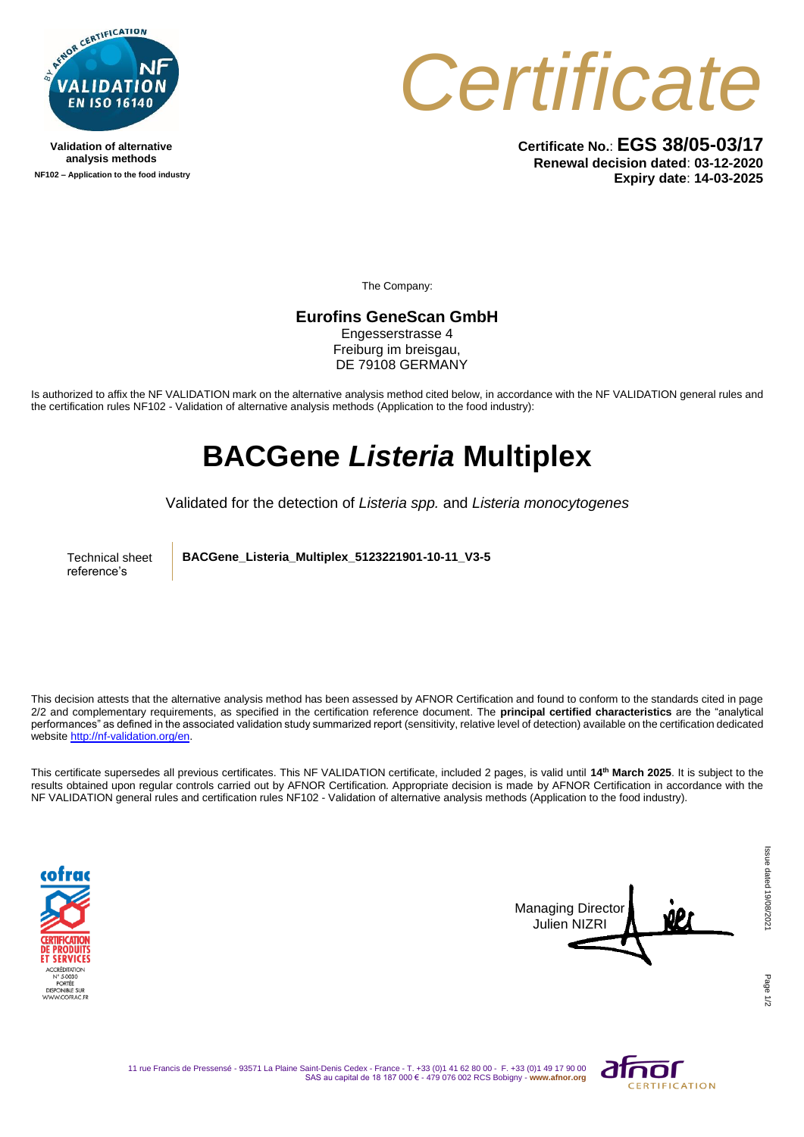

**Validation of alternative analysis methods NF102 – Application to the food industry** *Certificate*

**Certificate No.**: **EGS 38/05-03/17 Renewal decision dated**: **03-12-2020 Expiry date**: **14-03-2025**

The Company:

**Eurofins GeneScan GmbH** 

Engesserstrasse 4 Freiburg im breisgau, DE 79108 GERMANY

Is authorized to affix the NF VALIDATION mark on the alternative analysis method cited below, in accordance with the NF VALIDATION general rules and the certification rules NF102 - Validation of alternative analysis methods (Application to the food industry):

## **BACGene** *Listeria* **Multiplex**

Validated for the detection of *Listeria spp.* and *Listeria monocytogenes*

Technical sheet reference's

**BACGene\_Listeria\_Multiplex\_5123221901-10-11\_V3-5**

This decision attests that the alternative analysis method has been assessed by AFNOR Certification and found to conform to the standards cited in page 2/2 and complementary requirements, as specified in the certification reference document. The **principal certified characteristics** are the "analytical performances" as defined in the associated validation study summarized report (sensitivity, relative level of detection) available on the certification dedicated websit[e http://nf-validation.org/en.](http://nf-validation.org/en)

This certificate supersedes all previous certificates. This NF VALIDATION certificate, included 2 pages, is valid until **14th March 2025**. It is subject to the results obtained upon regular controls carried out by AFNOR Certification. Appropriate decision is made by AFNOR Certification in accordance with the NF VALIDATION general rules and certification rules NF102 - Validation of alternative analysis methods (Application to the food industry).





Page